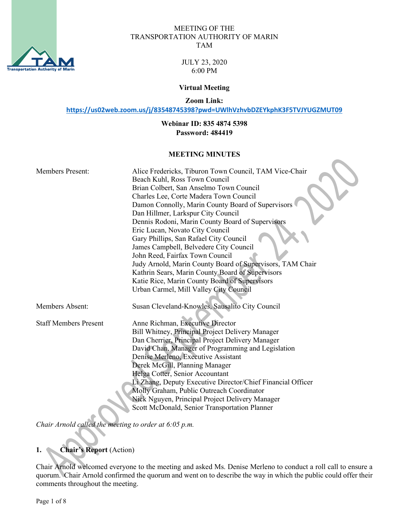

### MEETING OF THE TRANSPORTATION AUTHORITY OF MARIN TAM

JULY 23, 2020 6:00 PM

### **Virtual Meeting**

**Zoom Link:**

**<https://us02web.zoom.us/j/83548745398?pwd=UWlhVzhvbDZEYkphK3F5TVJYUGZMUT09>**

**Webinar ID: 835 4874 5398 Password: 484419**

# **MEETING MINUTES**

| <b>Members Present:</b>      | Alice Fredericks, Tiburon Town Council, TAM Vice-Chair      |
|------------------------------|-------------------------------------------------------------|
|                              | Beach Kuhl, Ross Town Council                               |
|                              | Brian Colbert, San Anselmo Town Council                     |
|                              | Charles Lee, Corte Madera Town Council                      |
|                              | Damon Connolly, Marin County Board of Supervisors           |
|                              | Dan Hillmer, Larkspur City Council                          |
|                              | Dennis Rodoni, Marin County Board of Supervisors            |
|                              | Eric Lucan, Novato City Council                             |
|                              | Gary Phillips, San Rafael City Council                      |
|                              | James Campbell, Belvedere City Council                      |
|                              | John Reed, Fairfax Town Council                             |
|                              | Judy Arnold, Marin County Board of Supervisors, TAM Chair   |
|                              | Kathrin Sears, Marin County Board of Supervisors            |
|                              | Katie Rice, Marin County Board of Supervisors               |
|                              | Urban Carmel, Mill Valley City Council                      |
|                              |                                                             |
| Members Absent:              | Susan Cleveland-Knowles, Sausalito City Council             |
|                              |                                                             |
| <b>Staff Members Present</b> | Anne Richman, Executive Director                            |
|                              | Bill Whitney, Principal Project Delivery Manager            |
|                              | Dan Cherrier, Principal Project Delivery Manager            |
|                              | David Chan, Manager of Programming and Legislation          |
|                              | Denise Merleno, Executive Assistant                         |
|                              | Derek McGill, Planning Manager                              |
|                              | Helga Cotter, Senior Accountant                             |
|                              | Li Zhang, Deputy Executive Director/Chief Financial Officer |
|                              | Molly Graham, Public Outreach Coordinator                   |
|                              | Nick Nguyen, Principal Project Delivery Manager             |
|                              | Scott McDonald, Senior Transportation Planner               |

*Chair Arnold called the meeting to order at 6:05 p.m.*

# **1. Chair's Report** (Action)

Chair Arnold welcomed everyone to the meeting and asked Ms. Denise Merleno to conduct a roll call to ensure a quorum. Chair Arnold confirmed the quorum and went on to describe the way in which the public could offer their comments throughout the meeting.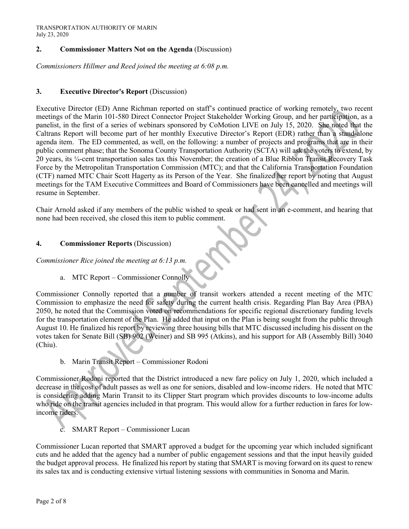TRANSPORTATION AUTHORITY OF MARIN July 23, 2020

### **2. Commissioner Matters Not on the Agenda** (Discussion)

*Commissioners Hillmer and Reed joined the meeting at 6:08 p.m.* 

### **3. Executive Director's Report** (Discussion)

Executive Director (ED) Anne Richman reported on staff's continued practice of working remotely, two recent meetings of the Marin 101-580 Direct Connector Project Stakeholder Working Group, and her participation, as a panelist, in the first of a series of webinars sponsored by CoMotion LIVE on July 15, 2020. She noted that the Caltrans Report will become part of her monthly Executive Director's Report (EDR) rather than a stand-alone agenda item. The ED commented, as well, on the following: a number of projects and programs that are in their public comment phase; that the Sonoma County Transportation Authority (SCTA) will ask the voters to extend, by 20 years, its ¼-cent transportation sales tax this November; the creation of a Blue Ribbon Transit Recovery Task Force by the Metropolitan Transportation Commission (MTC); and that the California Transportation Foundation (CTF) named MTC Chair Scott Hagerty as its Person of the Year. She finalized her report by noting that August meetings for the TAM Executive Committees and Board of Commissioners have been cancelled and meetings will resume in September.

Chair Arnold asked if any members of the public wished to speak or had sent in an e-comment, and hearing that none had been received, she closed this item to public comment.

### **4. Commissioner Reports** (Discussion)

*Commissioner Rice joined the meeting at 6:13 p.m.*

a. MTC Report – Commissioner Connolly

Commissioner Connolly reported that a number of transit workers attended a recent meeting of the MTC Commission to emphasize the need for safety during the current health crisis. Regarding Plan Bay Area (PBA) 2050, he noted that the Commission voted on recommendations for specific regional discretionary funding levels for the transportation element of the Plan. He added that input on the Plan is being sought from the public through August 10. He finalized his report by reviewing three housing bills that MTC discussed including his dissent on the votes taken for Senate Bill (SB) 902 (Weiner) and SB 995 (Atkins), and his support for AB (Assembly Bill) 3040 (Chiu).

b. Marin Transit Report – Commissioner Rodoni

Commissioner Rodoni reported that the District introduced a new fare policy on July 1, 2020, which included a decrease in the cost of adult passes as well as one for seniors, disabled and low-income riders. He noted that MTC is considering adding Marin Transit to its Clipper Start program which provides discounts to low-income adults who ride on the transit agencies included in that program. This would allow for a further reduction in fares for lowincome riders.

SMART Report – Commissioner Lucan

Commissioner Lucan reported that SMART approved a budget for the upcoming year which included significant cuts and he added that the agency had a number of public engagement sessions and that the input heavily guided the budget approval process. He finalized his report by stating that SMART is moving forward on its quest to renew its sales tax and is conducting extensive virtual listening sessions with communities in Sonoma and Marin.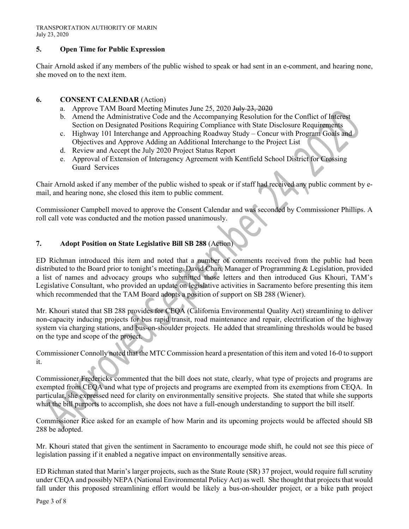# **5. Open Time for Public Expression**

Chair Arnold asked if any members of the public wished to speak or had sent in an e-comment, and hearing none, she moved on to the next item.

# **6. CONSENT CALENDAR** (Action)

- a. Approve TAM Board Meeting Minutes June 25, 2020 <del>July 23, 2020</del>
- b. Amend the Administrative Code and the Accompanying Resolution for the Conflict of Interest Section on Designated Positions Requiring Compliance with State Disclosure Requirements
- c. Highway 101 Interchange and Approaching Roadway Study Concur with Program Goals and Objectives and Approve Adding an Additional Interchange to the Project List
- d. Review and Accept the July 2020 Project Status Report
- e. Approval of Extension of Interagency Agreement with Kentfield School District for Crossing Guard Services

Chair Arnold asked if any member of the public wished to speak or if staff had received any public comment by email, and hearing none, she closed this item to public comment.

Commissioner Campbell moved to approve the Consent Calendar and was seconded by Commissioner Phillips. A roll call vote was conducted and the motion passed unanimously.

# **7. Adopt Position on State Legislative Bill SB 288** (Action)

ED Richman introduced this item and noted that a number of comments received from the public had been distributed to the Board prior to tonight's meeting. David Chan, Manager of Programming & Legislation, provided a list of names and advocacy groups who submitted those letters and then introduced Gus Khouri, TAM's Legislative Consultant, who provided an update on legislative activities in Sacramento before presenting this item which recommended that the TAM Board adopts a position of support on SB 288 (Wiener).

Mr. Khouri stated that SB 288 provides for CEQA (California Environmental Quality Act) streamlining to deliver non-capacity inducing projects for bus rapid transit, road maintenance and repair, electrification of the highway system via charging stations, and bus-on-shoulder projects. He added that streamlining thresholds would be based on the type and scope of the project.

Commissioner Connolly noted that the MTC Commission heard a presentation of this item and voted 16-0 to support it.

Commissioner Fredericks commented that the bill does not state, clearly, what type of projects and programs are exempted from CEQA and what type of projects and programs are exempted from its exemptions from CEQA. In particular, she expressed need for clarity on environmentally sensitive projects. She stated that while she supports what the bill purports to accomplish, she does not have a full-enough understanding to support the bill itself.

Commissioner Rice asked for an example of how Marin and its upcoming projects would be affected should SB 288 be adopted.

Mr. Khouri stated that given the sentiment in Sacramento to encourage mode shift, he could not see this piece of legislation passing if it enabled a negative impact on environmentally sensitive areas.

ED Richman stated that Marin's larger projects, such as the State Route (SR) 37 project, would require full scrutiny under CEQA and possibly NEPA (National Environmental Policy Act) as well. She thought that projects that would fall under this proposed streamlining effort would be likely a bus-on-shoulder project, or a bike path project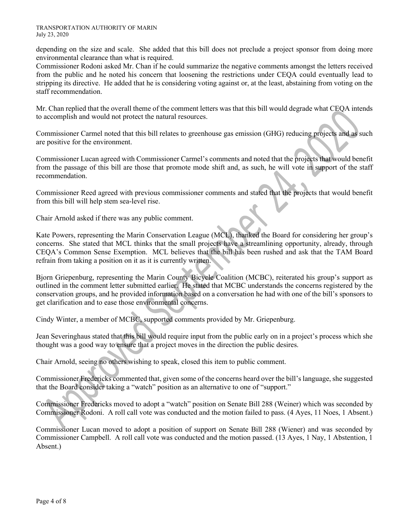#### TRANSPORTATION AUTHORITY OF MARIN July 23, 2020

depending on the size and scale. She added that this bill does not preclude a project sponsor from doing more environmental clearance than what is required.

Commissioner Rodoni asked Mr. Chan if he could summarize the negative comments amongst the letters received from the public and he noted his concern that loosening the restrictions under CEQA could eventually lead to stripping its directive. He added that he is considering voting against or, at the least, abstaining from voting on the staff recommendation.

Mr. Chan replied that the overall theme of the comment letters was that this bill would degrade what CEQA intends to accomplish and would not protect the natural resources.

Commissioner Carmel noted that this bill relates to greenhouse gas emission (GHG) reducing projects and as such are positive for the environment.

Commissioner Lucan agreed with Commissioner Carmel's comments and noted that the projects that would benefit from the passage of this bill are those that promote mode shift and, as such, he will vote in support of the staff recommendation.

Commissioner Reed agreed with previous commissioner comments and stated that the projects that would benefit from this bill will help stem sea-level rise.

Chair Arnold asked if there was any public comment.

Kate Powers, representing the Marin Conservation League (MCL), thanked the Board for considering her group's concerns. She stated that MCL thinks that the small projects have a streamlining opportunity, already, through CEQA's Common Sense Exemption. MCL believes that the bill has been rushed and ask that the TAM Board refrain from taking a position on it as it is currently written.

Bjorn Griepenburg, representing the Marin County Bicycle Coalition (MCBC), reiterated his group's support as outlined in the comment letter submitted earlier. He stated that MCBC understands the concerns registered by the conservation groups, and he provided information based on a conversation he had with one of the bill's sponsors to get clarification and to ease those environmental concerns.

Cindy Winter, a member of MCBC, supported comments provided by Mr. Griepenburg.

Jean Severinghaus stated that this bill would require input from the public early on in a project's process which she thought was a good way to ensure that a project moves in the direction the public desires.

Chair Arnold, seeing no others wishing to speak, closed this item to public comment.

Commissioner Fredericks commented that, given some of the concerns heard over the bill's language, she suggested that the Board consider taking a "watch" position as an alternative to one of "support."

Commissioner Fredericks moved to adopt a "watch" position on Senate Bill 288 (Weiner) which was seconded by Commissioner Rodoni. A roll call vote was conducted and the motion failed to pass. (4 Ayes, 11 Noes, 1 Absent.)

Commissioner Lucan moved to adopt a position of support on Senate Bill 288 (Wiener) and was seconded by Commissioner Campbell. A roll call vote was conducted and the motion passed. (13 Ayes, 1 Nay, 1 Abstention, 1 Absent.)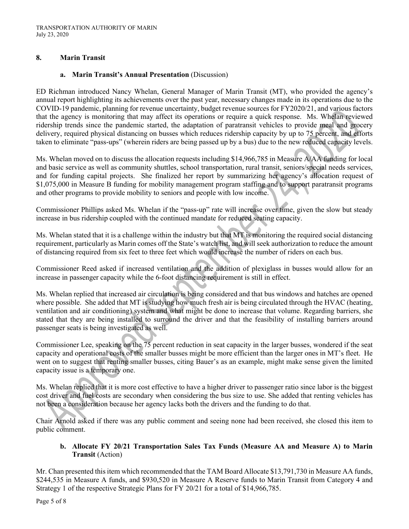### **8. Marin Transit**

### **a. Marin Transit's Annual Presentation** (Discussion)

ED Richman introduced Nancy Whelan, General Manager of Marin Transit (MT), who provided the agency's annual report highlighting its achievements over the past year, necessary changes made in its operations due to the COVID-19 pandemic, planning for revenue uncertainty, budget revenue sources for FY2020/21, and various factors that the agency is monitoring that may affect its operations or require a quick response. Ms. Whelan reviewed ridership trends since the pandemic started, the adaptation of paratransit vehicles to provide meal and grocery delivery, required physical distancing on busses which reduces ridership capacity by up to 75 percent, and efforts taken to eliminate "pass-ups" (wherein riders are being passed up by a bus) due to the new reduced capacity levels.

Ms. Whelan moved on to discuss the allocation requests including \$14,966,785 in Measure A/AA funding for local and basic service as well as community shuttles, school transportation, rural transit, seniors/special needs services, and for funding capital projects. She finalized her report by summarizing her agency's allocation request of \$1,075,000 in Measure B funding for mobility management program staffing and to support paratransit programs and other programs to provide mobility to seniors and people with low income.

Commissioner Phillips asked Ms. Whelan if the "pass-up" rate will increase over time, given the slow but steady increase in bus ridership coupled with the continued mandate for reduced seating capacity.

Ms. Whelan stated that it is a challenge within the industry but that MT is monitoring the required social distancing requirement, particularly as Marin comes off the State's watch list, and will seek authorization to reduce the amount of distancing required from six feet to three feet which would increase the number of riders on each bus.

Commissioner Reed asked if increased ventilation and the addition of plexiglass in busses would allow for an increase in passenger capacity while the 6-foot distancing requirement is still in effect.

Ms. Whelan replied that increased air circulation is being considered and that bus windows and hatches are opened where possible. She added that MT is studying how much fresh air is being circulated through the HVAC (heating, ventilation and air conditioning) system and what might be done to increase that volume. Regarding barriers, she stated that they are being installed to surround the driver and that the feasibility of installing barriers around passenger seats is being investigated as well.

Commissioner Lee, speaking on the 75 percent reduction in seat capacity in the larger busses, wondered if the seat capacity and operational costs of the smaller busses might be more efficient than the larger ones in MT's fleet. He went on to suggest that renting smaller busses, citing Bauer's as an example, might make sense given the limited capacity issue is a temporary one.

Ms. Whelan replied that it is more cost effective to have a higher driver to passenger ratio since labor is the biggest cost driver and fuel costs are secondary when considering the bus size to use. She added that renting vehicles has not been a consideration because her agency lacks both the drivers and the funding to do that.

Chair Arnold asked if there was any public comment and seeing none had been received, she closed this item to public comment.

### **b. Allocate FY 20/21 Transportation Sales Tax Funds (Measure AA and Measure A) to Marin Transit** (Action)

Mr. Chan presented this item which recommended that the TAM Board Allocate \$13,791,730 in Measure AA funds, \$244,535 in Measure A funds, and \$930,520 in Measure A Reserve funds to Marin Transit from Category 4 and Strategy 1 of the respective Strategic Plans for FY 20/21 for a total of \$14,966,785.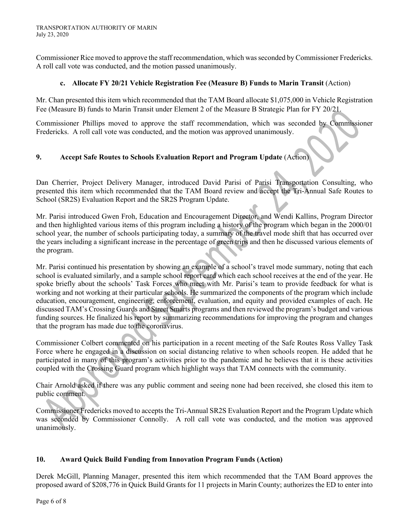Commissioner Rice moved to approve the staff recommendation, which was seconded by Commissioner Fredericks. A roll call vote was conducted, and the motion passed unanimously.

# **c. Allocate FY 20/21 Vehicle Registration Fee (Measure B) Funds to Marin Transit** (Action)

Mr. Chan presented this item which recommended that the TAM Board allocate \$1,075,000 in Vehicle Registration Fee (Measure B) funds to Marin Transit under Element 2 of the Measure B Strategic Plan for FY 20/21.

Commissioner Phillips moved to approve the staff recommendation, which was seconded by Commissioner Fredericks. A roll call vote was conducted, and the motion was approved unanimously.

# **9. Accept Safe Routes to Schools Evaluation Report and Program Update** (Action)

Dan Cherrier, Project Delivery Manager, introduced David Parisi of Parisi Transportation Consulting, who presented this item which recommended that the TAM Board review and accept the Tri-Annual Safe Routes to School (SR2S) Evaluation Report and the SR2S Program Update.

Mr. Parisi introduced Gwen Froh, Education and Encouragement Director, and Wendi Kallins, Program Director and then highlighted various items of this program including a history of the program which began in the 2000/01 school year, the number of schools participating today, a summary of the travel mode shift that has occurred over the years including a significant increase in the percentage of green trips and then he discussed various elements of the program.

Mr. Parisi continued his presentation by showing an example of a school's travel mode summary, noting that each school is evaluated similarly, and a sample school report card which each school receives at the end of the year. He spoke briefly about the schools' Task Forces who meet with Mr. Parisi's team to provide feedback for what is working and not working at their particular schools. He summarized the components of the program which include education, encouragement, engineering, enforcement, evaluation, and equity and provided examples of each. He discussed TAM's Crossing Guards and Street Smarts programs and then reviewed the program's budget and various funding sources. He finalized his report by summarizing recommendations for improving the program and changes that the program has made due to the coronavirus.

Commissioner Colbert commented on his participation in a recent meeting of the Safe Routes Ross Valley Task Force where he engaged in a discussion on social distancing relative to when schools reopen. He added that he participated in many of this program's activities prior to the pandemic and he believes that it is these activities coupled with the Crossing Guard program which highlight ways that TAM connects with the community.

Chair Arnold asked if there was any public comment and seeing none had been received, she closed this item to public comment.

Commissioner Fredericks moved to accepts the Tri-Annual SR2S Evaluation Report and the Program Update which was seconded by Commissioner Connolly. A roll call vote was conducted, and the motion was approved unanimously.

# **10. Award Quick Build Funding from Innovation Program Funds (Action)**

Derek McGill, Planning Manager, presented this item which recommended that the TAM Board approves the proposed award of \$208,776 in Quick Build Grants for 11 projects in Marin County; authorizes the ED to enter into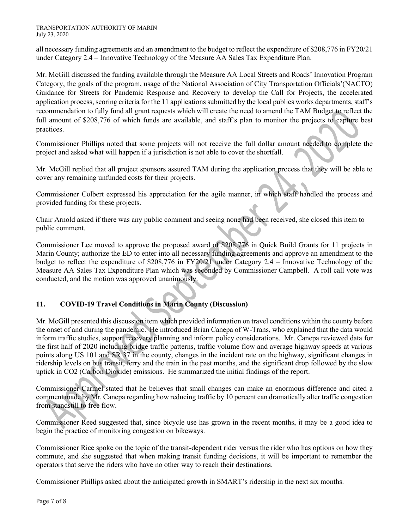TRANSPORTATION AUTHORITY OF MARIN July 23, 2020

all necessary funding agreements and an amendment to the budget to reflect the expenditure of \$208,776 in FY20/21 under Category 2.4 – Innovative Technology of the Measure AA Sales Tax Expenditure Plan.

Mr. McGill discussed the funding available through the Measure AA Local Streets and Roads' Innovation Program Category, the goals of the program, usage of the National Association of City Transportation Officials'(NACTO) Guidance for Streets for Pandemic Response and Recovery to develop the Call for Projects, the accelerated application process, scoring criteria for the 11 applications submitted by the local publics works departments, staff's recommendation to fully fund all grant requests which will create the need to amend the TAM Budget to reflect the full amount of \$208,776 of which funds are available, and staff's plan to monitor the projects to capture best practices.

Commissioner Phillips noted that some projects will not receive the full dollar amount needed to complete the project and asked what will happen if a jurisdiction is not able to cover the shortfall.

Mr. McGill replied that all project sponsors assured TAM during the application process that they will be able to cover any remaining unfunded costs for their projects.

Commissioner Colbert expressed his appreciation for the agile manner, in which staff handled the process and provided funding for these projects.

Chair Arnold asked if there was any public comment and seeing none had been received, she closed this item to public comment.

Commissioner Lee moved to approve the proposed award of \$208,776 in Quick Build Grants for 11 projects in Marin County; authorize the ED to enter into all necessary funding agreements and approve an amendment to the budget to reflect the expenditure of \$208,776 in FY20/21 under Category 2.4 – Innovative Technology of the Measure AA Sales Tax Expenditure Plan which was seconded by Commissioner Campbell. A roll call vote was conducted, and the motion was approved unanimously.

# **11. COVID-19 Travel Conditions in Marin County (Discussion)**

Mr. McGill presented this discussion item which provided information on travel conditions within the county before the onset of and during the pandemic. He introduced Brian Canepa of W-Trans, who explained that the data would inform traffic studies, support recovery planning and inform policy considerations. Mr. Canepa reviewed data for the first half of 2020 including bridge traffic patterns, traffic volume flow and average highway speeds at various points along US 101 and SR 37 in the county, changes in the incident rate on the highway, significant changes in ridership levels on bus transit, ferry and the train in the past months, and the significant drop followed by the slow uptick in CO2 (Carbon Dioxide) emissions. He summarized the initial findings of the report.

Commissioner Carmel stated that he believes that small changes can make an enormous difference and cited a comment made by Mr. Canepa regarding how reducing traffic by 10 percent can dramatically alter traffic congestion from standstill to free flow.

Commissioner Reed suggested that, since bicycle use has grown in the recent months, it may be a good idea to begin the practice of monitoring congestion on bikeways.

Commissioner Rice spoke on the topic of the transit-dependent rider versus the rider who has options on how they commute, and she suggested that when making transit funding decisions, it will be important to remember the operators that serve the riders who have no other way to reach their destinations.

Commissioner Phillips asked about the anticipated growth in SMART's ridership in the next six months.